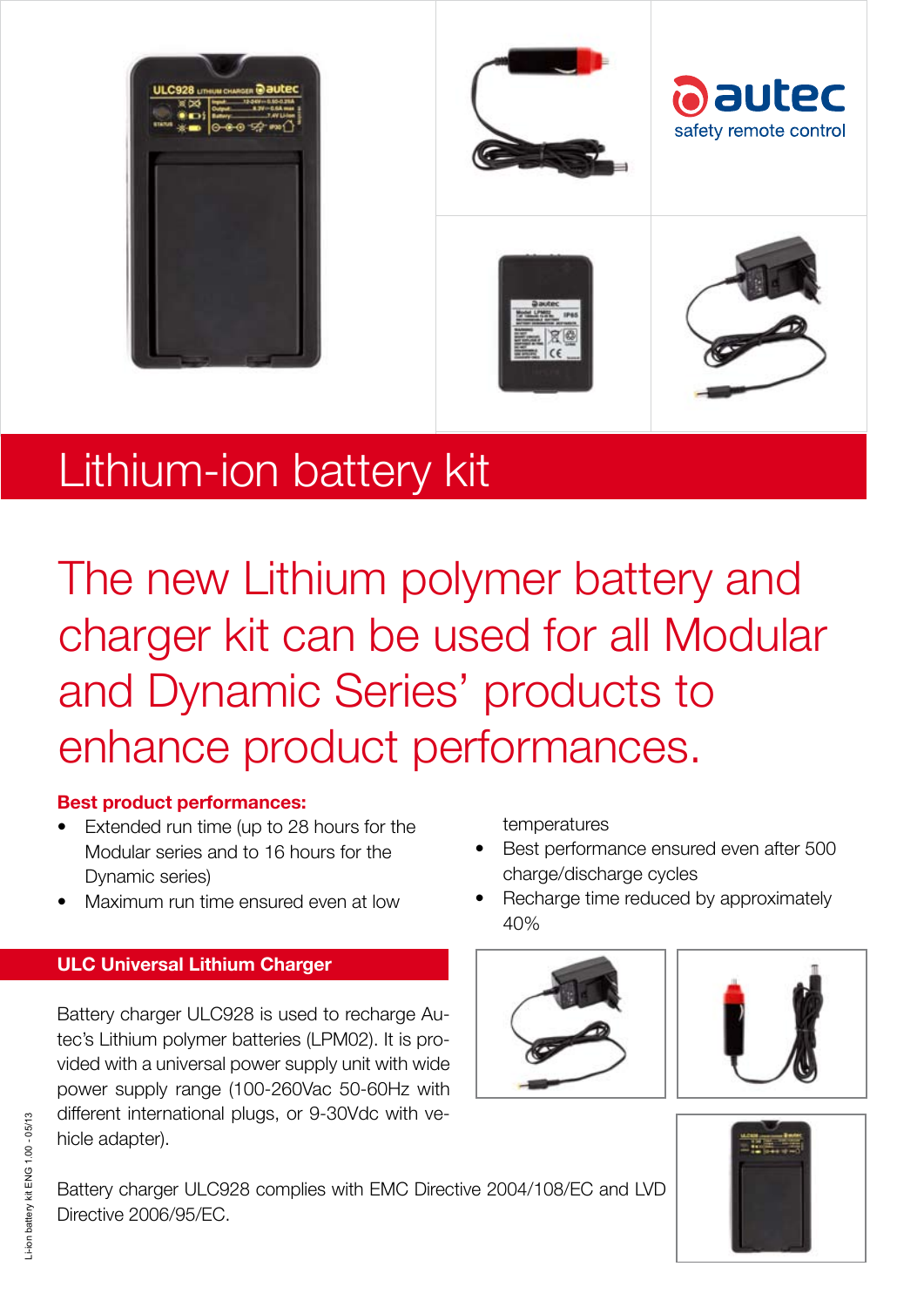

# Lithium-ion battery kit Lithium-ion battery kit

The new Lithium polymer battery and charger kit can be used for all Modular and Dynamic Series' products to enhance product performances.

### **Best product performances:**

- Extended run time (up to 28 hours for the Modular series and to 16 hours for the Dynamic series)
- Maximum run time ensured even at low

## **ULC Universal Lithium Charger**

Battery charger ULC928 is used to recharge Autec's Lithium polymer batteries (LPM02). It is provided with a universal power supply unit with wide power supply range (100-260Vac 50-60Hz with different international plugs, or 9-30Vdc with vehicle adapter).

temperatures

- Best performance ensured even after 500 charge/discharge cycles
- Recharge time reduced by approximately 40%







Battery charger ULC928 complies with EMC Directive 2004/108/EC and LVD Directive 2006/95/EC.